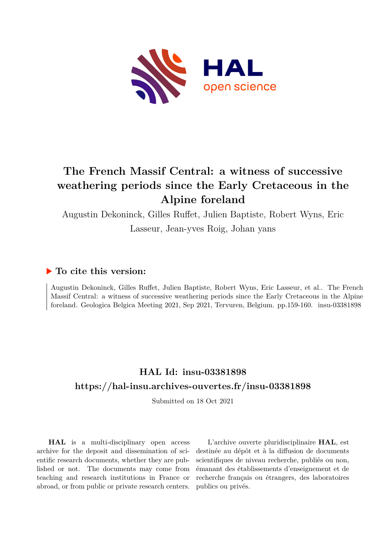

# **The French Massif Central: a witness of successive weathering periods since the Early Cretaceous in the Alpine foreland**

Augustin Dekoninck, Gilles Ruffet, Julien Baptiste, Robert Wyns, Eric Lasseur, Jean-yves Roig, Johan yans

#### **To cite this version:**

Augustin Dekoninck, Gilles Ruffet, Julien Baptiste, Robert Wyns, Eric Lasseur, et al.. The French Massif Central: a witness of successive weathering periods since the Early Cretaceous in the Alpine foreland. Geologica Belgica Meeting 2021, Sep 2021, Tervuren, Belgium. pp.159-160. insu-03381898

## **HAL Id: insu-03381898 <https://hal-insu.archives-ouvertes.fr/insu-03381898>**

Submitted on 18 Oct 2021

**HAL** is a multi-disciplinary open access archive for the deposit and dissemination of scientific research documents, whether they are published or not. The documents may come from teaching and research institutions in France or abroad, or from public or private research centers.

L'archive ouverte pluridisciplinaire **HAL**, est destinée au dépôt et à la diffusion de documents scientifiques de niveau recherche, publiés ou non, émanant des établissements d'enseignement et de recherche français ou étrangers, des laboratoires publics ou privés.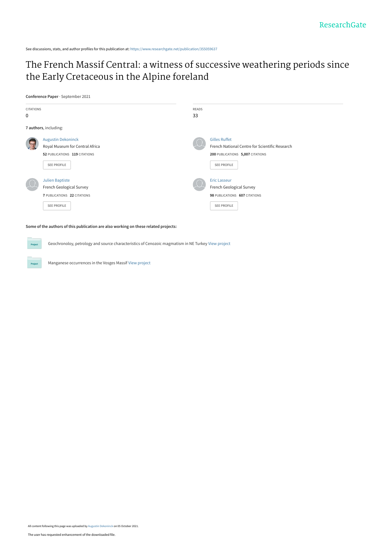See discussions, stats, and author profiles for this publication at: [https://www.researchgate.net/publication/355059637](https://www.researchgate.net/publication/355059637_The_French_Massif_Central_a_witness_of_successive_weathering_periods_since_the_Early_Cretaceous_in_the_Alpine_foreland?enrichId=rgreq-18b4ca8f51fe1ae8882be5948bcf8a8f-XXX&enrichSource=Y292ZXJQYWdlOzM1NTA1OTYzNztBUzoxMDc1NDcyNzMzNTk3Njk2QDE2MzM0MjQwODkxMTU%3D&el=1_x_2&_esc=publicationCoverPdf)

### [The French Massif Central: a witness of successive weathering periods since](https://www.researchgate.net/publication/355059637_The_French_Massif_Central_a_witness_of_successive_weathering_periods_since_the_Early_Cretaceous_in_the_Alpine_foreland?enrichId=rgreq-18b4ca8f51fe1ae8882be5948bcf8a8f-XXX&enrichSource=Y292ZXJQYWdlOzM1NTA1OTYzNztBUzoxMDc1NDcyNzMzNTk3Njk2QDE2MzM0MjQwODkxMTU%3D&el=1_x_3&_esc=publicationCoverPdf) the Early Cretaceous in the Alpine foreland

**Conference Paper** · September 2021

Pro



**Some of the authors of this publication are also working on these related projects:**

Geochronoloy, petrology and source characteristics of Cenozoic magmatism in NE Turkey [View project](https://www.researchgate.net/project/Geochronoloy-petrology-and-source-characteristics-of-Cenozoic-magmatism-in-NE-Turkey?enrichId=rgreq-18b4ca8f51fe1ae8882be5948bcf8a8f-XXX&enrichSource=Y292ZXJQYWdlOzM1NTA1OTYzNztBUzoxMDc1NDcyNzMzNTk3Njk2QDE2MzM0MjQwODkxMTU%3D&el=1_x_9&_esc=publicationCoverPdf)

Manganese occurrences in the Vosges Massif [View project](https://www.researchgate.net/project/Manganese-occurrences-in-the-Vosges-Massif?enrichId=rgreq-18b4ca8f51fe1ae8882be5948bcf8a8f-XXX&enrichSource=Y292ZXJQYWdlOzM1NTA1OTYzNztBUzoxMDc1NDcyNzMzNTk3Njk2QDE2MzM0MjQwODkxMTU%3D&el=1_x_9&_esc=publicationCoverPdf)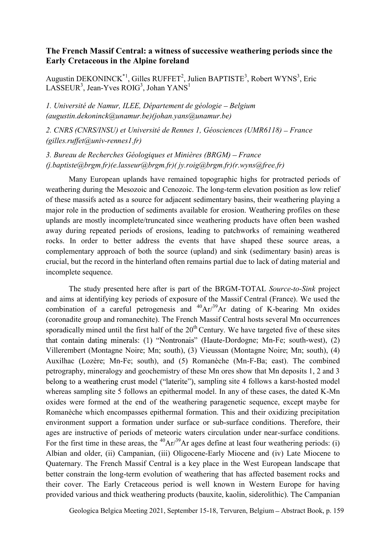#### The French Massif Central: a witness of successive weathering periods since the Early Cretaceous in the Alpine foreland

Augustin DEKONINCK $1$ <sup>t</sup>, Gilles RUFFET<sup>2</sup>, Julien BAPTISTE<sup>3</sup>, Robert WYNS<sup>3</sup>, Eric  $LASSEUR<sup>3</sup>$ , Jean-Yves ROIG<sup>3</sup>, Johan YANS<sup>1</sup>

1. Université de Namur, ILEE, Département de géologie – Belgium  $(augustin.dekonink@unamur.be)(johan.yans@unamur.be)$ 

2. CNRS (CNRS/INSU) et Université de Rennes 1, Géosciences (UMR6118) – France (gilles.ruffet@univ-rennes1.fr)

3. Bureau de Recherches Géologiques et Minières (BRGM) – France (j.baptiste@brgm.fr)(e.lasseur@brgm.fr)( jy.roig@brgm.fr)(r.wyns@free.fr)

Many European uplands have remained topographic highs for protracted periods of weathering during the Mesozoic and Cenozoic. The long-term elevation position as low relief of these massifs acted as a source for adjacent sedimentary basins, their weathering playing a major role in the production of sediments available for erosion. Weathering profiles on these uplands are mostly incomplete/truncated since weathering products have often been washed away during repeated periods of erosions, leading to patchworks of remaining weathered rocks. In order to better address the events that have shaped these source areas, a complementary approach of both the source (upland) and sink (sedimentary basin) areas is crucial, but the record in the hinterland often remains partial due to lack of dating material and incomplete sequence.

The study presented here after is part of the BRGM-TOTAL Source-to-Sink project and aims at identifying key periods of exposure of the Massif Central (France). We used the combination of a careful petrogenesis and  $^{40}Ar^{39}Ar$  dating of K-bearing Mn oxides (coronadite group and romanechite). The French Massif Central hosts several Mn occurrences sporadically mined until the first half of the  $20<sup>th</sup>$  Century. We have targeted five of these sites that contain dating minerals: (1) "Nontronais" (Haute-Dordogne; Mn-Fe; south-west),  $(2)$ Villerembert (Montagne Noire; Mn; south), (3) Vieussan (Montagne Noire; Mn; south), (4) Auxilhac (Lozère; Mn-Fe; south), and (5) Romanèche (Mn-F-Ba; east). The combined petrography, mineralogy and geochemistry of these Mn ores show that Mn deposits 1, 2 and 3 belong to a weathering crust model ("laterite"), sampling site 4 follows a karst-hosted model whereas sampling site 5 follows an epithermal model. In any of these cases, the dated K-Mn oxides were formed at the end of the weathering paragenetic sequence, except maybe for Romanèche which encompasses epithermal formation. This and their oxidizing precipitation environment support a formation under surface or sub-surface conditions. Therefore, their ages are instructive of periods of meteoric waters circulation under near-surface conditions. For the first time in these areas, the  ${}^{40}Ar/{}^{39}Ar$  ages define at least four weathering periods: (i) Albian and older, (ii) Campanian, (iii) Oligocene-Early Miocene and (iv) Late Miocene to Quaternary. The French Massif Central is a key place in the West European landscape that better constrain the long-term evolution of weathering that has affected basement rocks and their cover. The Early Cretaceous period is well known in Western Europe for having provided various and thick weathering products (bauxite, kaolin, siderolithic). The Campanian